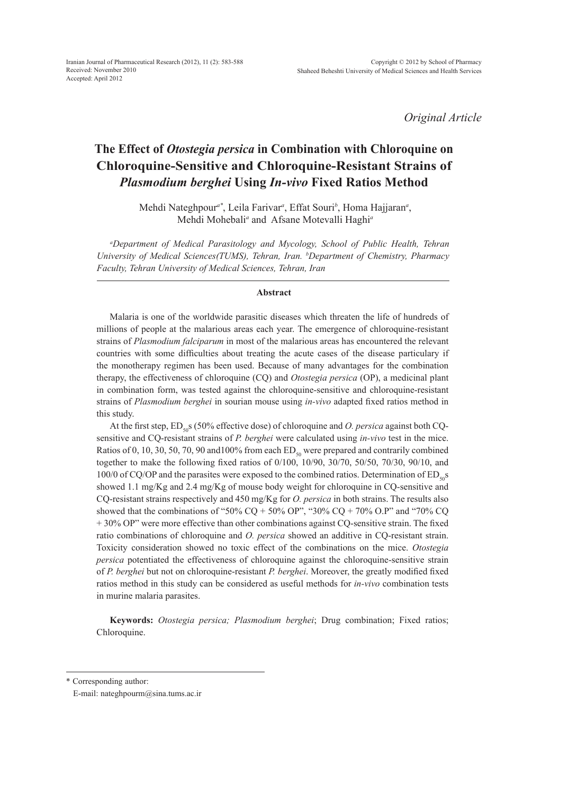*Original Article*

# **The Effect of** *Otostegia persica* **in Combination with Chloroquine on Chloroquine-Sensitive and Chloroquine-Resistant Strains of**  *Plasmodium berghei* **Using** *In-vivo* **Fixed Ratios Method**

Mehdi Nateghpour*a\**, Leila Farivar*<sup>a</sup>* , Effat Souri*<sup>b</sup>* , Homa Hajjaran*<sup>a</sup>* , Mehdi Mohebali*<sup>a</sup>* and Afsane Motevalli Haghi*<sup>a</sup>*

*a Department of Medical Parasitology and Mycology, School of Public Health, Tehran University of Medical Sciences(TUMS), Tehran, Iran. b Department of Chemistry, Pharmacy Faculty, Tehran University of Medical Sciences, Tehran, Iran*

# **Abstract**

Malaria is one of the worldwide parasitic diseases which threaten the life of hundreds of millions of people at the malarious areas each year. The emergence of chloroquine-resistant strains of *Plasmodium falciparum* in most of the malarious areas has encountered the relevant countries with some difficulties about treating the acute cases of the disease particulary if the monotherapy regimen has been used. Because of many advantages for the combination therapy, the effectiveness of chloroquine (CQ) and *Otostegia persica* (OP), a medicinal plant in combination form, was tested against the chloroquine-sensitive and chloroquine-resistant strains of *Plasmodium berghei* in sourian mouse using *in-vivo* adapted fixed ratios method in this study.

At the first step,  $ED_{s0}$ s (50% effective dose) of chloroquine and *O. persica* against both CQsensitive and CQ-resistant strains of *P. berghei* were calculated using *in-vivo* test in the mice. Ratios of 0, 10, 30, 50, 70, 90 and 100% from each  $ED_{s0}$  were prepared and contrarily combined together to make the following fixed ratios of 0/100, 10/90, 30/70, 50/50, 70/30, 90/10, and 100/0 of CQ/OP and the parasites were exposed to the combined ratios. Determination of  $ED_{50}$ s showed 1.1 mg/Kg and 2.4 mg/Kg of mouse body weight for chloroquine in CQ-sensitive and CQ-resistant strains respectively and 450 mg/Kg for *O. persica* in both strains. The results also showed that the combinations of "50% CQ + 50% OP", "30% CQ + 70% O.P" and "70% CQ + 30% OP" were more effective than other combinations against CQ-sensitive strain. The fixed ratio combinations of chloroquine and *O. persica* showed an additive in CQ-resistant strain. Toxicity consideration showed no toxic effect of the combinations on the mice. *Otostegia persica* potentiated the effectiveness of chloroquine against the chloroquine-sensitive strain of *P. berghei* but not on chloroquine-resistant *P. berghei*. Moreover, the greatly modified fixed ratios method in this study can be considered as useful methods for *in-vivo* combination tests in murine malaria parasites.

**Keywords:** *Otostegia persica; Plasmodium berghei*; Drug combination; Fixed ratios; Chloroquine.

\* Corresponding author:

E-mail: nateghpourm@sina.tums.ac.ir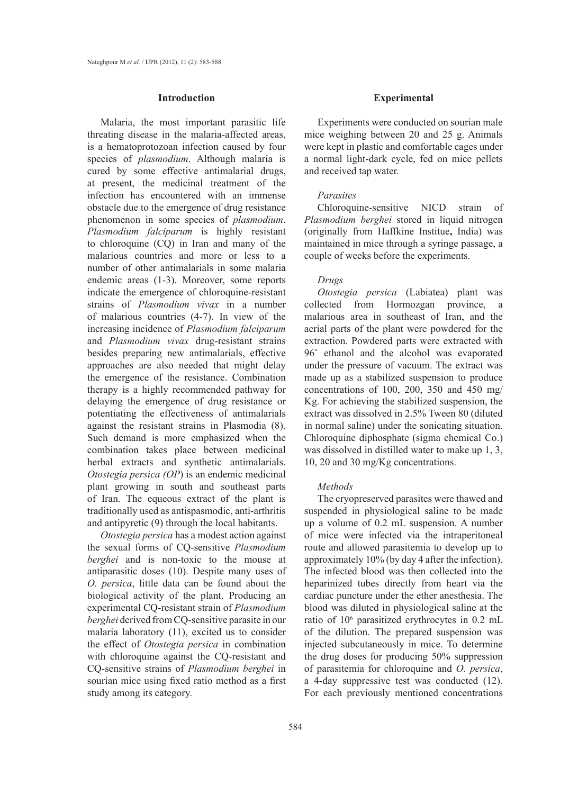#### **Introduction**

Malaria, the most important parasitic life threating disease in the malaria-affected areas, is a hematoprotozoan infection caused by four species of *plasmodium*. Although malaria is cured by some effective antimalarial drugs, at present, the medicinal treatment of the infection has encountered with an immense obstacle due to the emergence of drug resistance phenomenon in some species of *plasmodium*. *Plasmodium falciparum* is highly resistant to chloroquine (CQ) in Iran and many of the malarious countries and more or less to a number of other antimalarials in some malaria endemic areas (1-3). Moreover, some reports indicate the emergence of chloroquine-resistant strains of *Plasmodium vivax* in a number of malarious countries (4-7). In view of the increasing incidence of *Plasmodium falciparum*  and *Plasmodium vivax* drug-resistant strains besides preparing new antimalarials, effective approaches are also needed that might delay the emergence of the resistance. Combination therapy is a highly recommended pathway for delaying the emergence of drug resistance or potentiating the effectiveness of antimalarials against the resistant strains in Plasmodia (8). Such demand is more emphasized when the combination takes place between medicinal herbal extracts and synthetic antimalarials. *Otostegia persica (OP*) is an endemic medicinal plant growing in south and southeast parts of Iran. The equeous extract of the plant is traditionally used as antispasmodic, anti-arthritis and antipyretic (9) through the local habitants.

*Otostegia persica* has a modest action against the sexual forms of CQ-sensitive *Plasmodium berghei* and is non-toxic to the mouse at antiparasitic doses (10). Despite many uses of *O. persica*, little data can be found about the biological activity of the plant. Producing an experimental CQ-resistant strain of *Plasmodium berghei* derived from CQ-sensitive parasite in our malaria laboratory (11), excited us to consider the effect of *Otostegia persica* in combination with chloroquine against the CQ-resistant and CQ-sensitive strains of *Plasmodium berghei* in sourian mice using fixed ratio method as a first study among its category.

### **Experimental**

Experiments were conducted on sourian male mice weighing between 20 and 25 g. Animals were kept in plastic and comfortable cages under a normal light-dark cycle, fed on mice pellets and received tap water.

#### *Parasites*

Chloroquine-sensitive NICD strain of *Plasmodium berghei* stored in liquid nitrogen (originally from Haffkine Institue**,** India) was maintained in mice through a syringe passage, a couple of weeks before the experiments.

### *Drugs*

*Otostegia persica* (Labiatea) plant was collected from Hormozgan province, a malarious area in southeast of Iran, and the aerial parts of the plant were powdered for the extraction. Powdered parts were extracted with 96˚ ethanol and the alcohol was evaporated under the pressure of vacuum. The extract was made up as a stabilized suspension to produce concentrations of 100, 200, 350 and 450 mg/ Kg. For achieving the stabilized suspension, the extract was dissolved in 2.5% Tween 80 (diluted in normal saline) under the sonicating situation. Chloroquine diphosphate (sigma chemical Co.) was dissolved in distilled water to make up 1, 3, 10, 20 and 30 mg/Kg concentrations.

### *Methods*

The cryopreserved parasites were thawed and suspended in physiological saline to be made up a volume of 0.2 mL suspension. A number of mice were infected via the intraperitoneal route and allowed parasitemia to develop up to approximately 10% (by day 4 after the infection). The infected blood was then collected into the heparinized tubes directly from heart via the cardiac puncture under the ether anesthesia. The blood was diluted in physiological saline at the ratio of 106 parasitized erythrocytes in 0.2 mL of the dilution. The prepared suspension was injected subcutaneously in mice. To determine the drug doses for producing 50% suppression of parasitemia for chloroquine and *O. persica*, a 4-day suppressive test was conducted (12). For each previously mentioned concentrations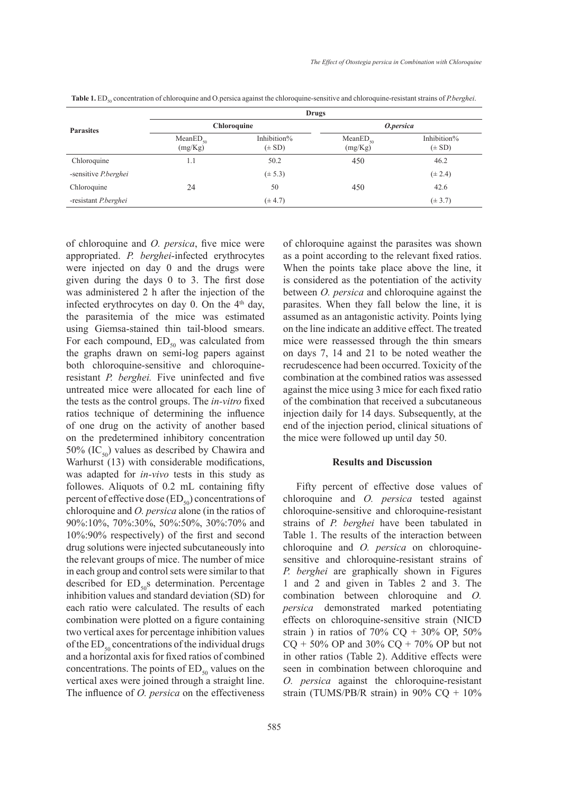| <b>Parasites</b>            | Drugs                     |                           |                           |                           |  |
|-----------------------------|---------------------------|---------------------------|---------------------------|---------------------------|--|
|                             | Chloroquine               |                           | O.persica                 |                           |  |
|                             | Mean $ED_{50}$<br>(mg/Kg) | Inhibition%<br>$(\pm SD)$ | Mean $ED_{so}$<br>(mg/Kg) | Inhibition%<br>$(\pm SD)$ |  |
| Chloroquine                 | 1.1                       | 50.2                      | 450                       | 46.2                      |  |
| -sensitive <i>P.berghei</i> |                           | $(\pm 5.3)$               |                           | $(\pm 2.4)$               |  |
| Chloroquine                 | 24                        | 50                        | 450                       | 42.6                      |  |

-resistant *P.berghei* (± 4.7) (± 3.7)

Table 1. ED<sub>50</sub> concentration of chloroquine and O.persica against the chloroquine-sensitive and chloroquine-resistant strains of *P.berghei*.

of chloroquine and *O. persica*, five mice were appropriated. *P. berghei*-infected erythrocytes were injected on day 0 and the drugs were given during the days 0 to 3. The first dose was administered 2 h after the injection of the infected erythrocytes on day 0. On the  $4<sup>th</sup>$  day, the parasitemia of the mice was estimated using Giemsa-stained thin tail-blood smears. For each compound,  $ED_{50}$  was calculated from the graphs drawn on semi-log papers against both chloroquine-sensitive and chloroquineresistant *P. berghei.* Five uninfected and five untreated mice were allocated for each line of the tests as the control groups. The *in-vitro* fixed ratios technique of determining the influence of one drug on the activity of another based on the predetermined inhibitory concentration 50% (IC<sub>50</sub>) values as described by Chawira and Warhurst (13) with considerable modifications, was adapted for *in-vivo* tests in this study as followes. Aliquots of 0.2 mL containing fifty percent of effective dose  $(ED_{50})$  concentrations of chloroquine and *O. persica* alone (in the ratios of 90%:10%, 70%:30%, 50%:50%, 30%:70% and 10%:90% respectively) of the first and second drug solutions were injected subcutaneously into the relevant groups of mice. The number of mice in each group and control sets were similar to that described for  $ED<sub>50</sub>S$  determination. Percentage inhibition values and standard deviation (SD) for each ratio were calculated. The results of each combination were plotted on a figure containing two vertical axes for percentage inhibition values of the  $ED_{so}$  concentrations of the individual drugs and a horizontal axis for fixed ratios of combined concentrations. The points of  $ED_{50}$  values on the vertical axes were joined through a straight line. The influence of *O. persica* on the effectiveness

585

of chloroquine against the parasites was shown as a point according to the relevant fixed ratios. When the points take place above the line, it is considered as the potentiation of the activity between *O. persica* and chloroquine against the parasites. When they fall below the line, it is assumed as an antagonistic activity. Points lying on the line indicate an additive effect. The treated mice were reassessed through the thin smears on days 7, 14 and 21 to be noted weather the recrudescence had been occurred. Toxicity of the combination at the combined ratios was assessed against the mice using 3 mice for each fixed ratio of the combination that received a subcutaneous injection daily for 14 days. Subsequently, at the end of the injection period, clinical situations of the mice were followed up until day 50.

## **Results and Discussion**

Fifty percent of effective dose values of chloroquine and *O. persica* tested against chloroquine-sensitive and chloroquine-resistant strains of *P. berghei* have been tabulated in Table 1. The results of the interaction between chloroquine and *O. persica* on chloroquinesensitive and chloroquine-resistant strains of *P. berghei* are graphically shown in Figures 1 and 2 and given in Tables 2 and 3. The combination between chloroquine and *O. persica* demonstrated marked potentiating effects on chloroquine-sensitive strain (NICD strain) in ratios of 70%  $CQ + 30%$  OP, 50%  $CQ + 50\%$  OP and 30%  $CQ + 70\%$  OP but not in other ratios (Table 2). Additive effects were seen in combination between chloroquine and *O. persica* against the chloroquine-resistant strain (TUMS/PB/R strain) in 90%  $CQ + 10\%$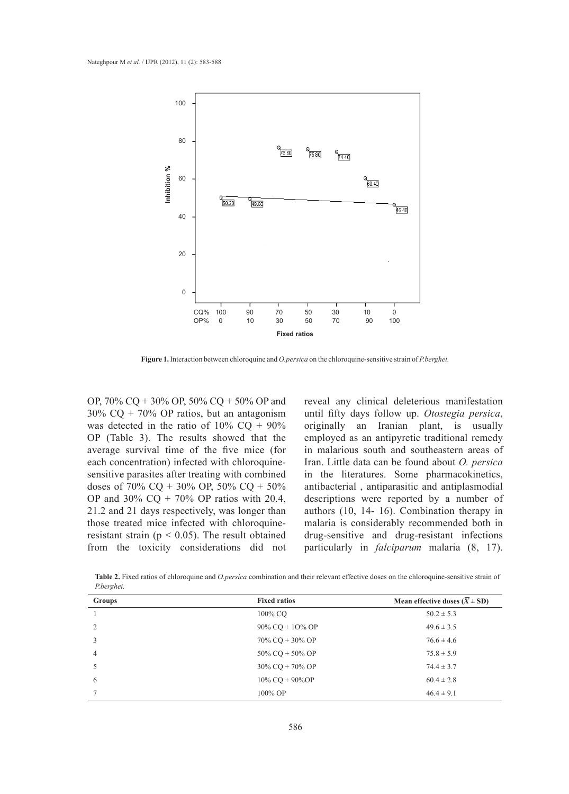

**Figure 1.** Interaction between chloroquine and *O.persica* on the chloroquine-sensitive strain of *P.berghei.*

OP, 70% CQ + 30% OP, 50% CQ + 50% OP and 30% CQ + 70% OP ratios, but an antagonism was detected in the ratio of  $10\%$  CQ +  $90\%$ OP (Table 3). The results showed that the average survival time of the five mice (for each concentration) infected with chloroquinesensitive parasites after treating with combined doses of 70% CQ + 30% OP, 50% CQ + 50% OP and 30% CQ + 70% OP ratios with 20.4, 21.2 and 21 days respectively, was longer than those treated mice infected with chloroquineresistant strain ( $p < 0.05$ ). The result obtained from the toxicity considerations did not reveal any clinical deleterious manifestation until fifty days follow up. *Otostegia persica*, originally an Iranian plant, is usually employed as an antipyretic traditional remedy in malarious south and southeastern areas of Iran. Little data can be found about *O. persica*  in the literatures. Some pharmacokinetics, antibacterial , antiparasitic and antiplasmodial descriptions were reported by a number of authors (10, 14- 16). Combination therapy in malaria is considerably recommended both in drug-sensitive and drug-resistant infections particularly in *falciparum* malaria (8, 17).

**Table 2.** Fixed ratios of chloroquine and *O.persica* combination and their relevant effective doses on the chloroquine-sensitive strain of *P.berghei.*

| <b>Groups</b>  | <b>Fixed ratios</b>   | Mean effective doses $(\overline{X} \pm SD)$ |
|----------------|-----------------------|----------------------------------------------|
|                | 100% CO               | $50.2 \pm 5.3$                               |
| $\overline{2}$ | $90\%$ CO + $10\%$ OP | $49.6 \pm 3.5$                               |
|                | $70\%$ CQ + 30% OP    | $76.6 \pm 4.6$                               |
| 4              | $50\%$ CO + $50\%$ OP | $75.8 \pm 5.9$                               |
|                | $30\%$ CQ + 70% OP    | $74.4 \pm 3.7$                               |
| 6              | $10\%$ CO + 90%OP     | $60.4 \pm 2.8$                               |
|                | $100\%$ OP            | $46.4 \pm 9.1$                               |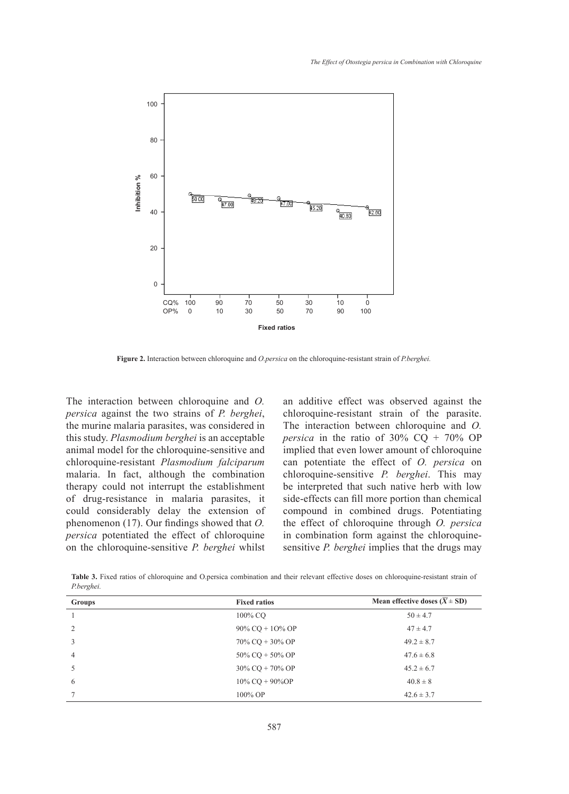

**Figure 2.** Interaction between chloroquine and *O.persica* on the chloroquine-resistant strain of *P.berghei.*

The interaction between chloroquine and *O. persica* against the two strains of *P. berghei*, the murine malaria parasites, was considered in this study. *Plasmodium berghei* is an acceptable animal model for the chloroquine-sensitive and chloroquine-resistant *Plasmodium falciparum* malaria. In fact, although the combination therapy could not interrupt the establishment of drug-resistance in malaria parasites, it could considerably delay the extension of phenomenon (17). Our findings showed that *O. persica* potentiated the effect of chloroquine on the chloroquine-sensitive *P. berghei* whilst

an additive effect was observed against the chloroquine-resistant strain of the parasite. The interaction between chloroquine and *O. persica* in the ratio of  $30\%$  CQ +  $70\%$  OP implied that even lower amount of chloroquine can potentiate the effect of *O. persica* on chloroquine-sensitive *P. berghei*. This may be interpreted that such native herb with low side-effects can fill more portion than chemical compound in combined drugs. Potentiating the effect of chloroquine through *O. persica* in combination form against the chloroquinesensitive *P. berghei* implies that the drugs may

**Table 3.** Fixed ratios of chloroquine and O.persica combination and their relevant effective doses on chloroquine-resistant strain of *P.berghei.*

| Groups        | <b>Fixed ratios</b>   | Mean effective doses $(\overline{X} \pm SD)$ |
|---------------|-----------------------|----------------------------------------------|
|               | 100% CO               | $50 \pm 4.7$                                 |
| $\mathcal{L}$ | $90\%$ CQ + $10\%$ OP | $47 \pm 4.7$                                 |
|               | $70\%$ CQ + 30% OP    | $49.2 \pm 8.7$                               |
| 4             | $50\%$ CQ + $50\%$ OP | $47.6 \pm 6.8$                               |
|               | $30\%$ CQ + 70% OP    | $45.2 \pm 6.7$                               |
| 6             | $10\%$ CQ + 90%OP     | $40.8 \pm 8$                                 |
|               | $100\%$ OP            | $42.6 \pm 3.7$                               |